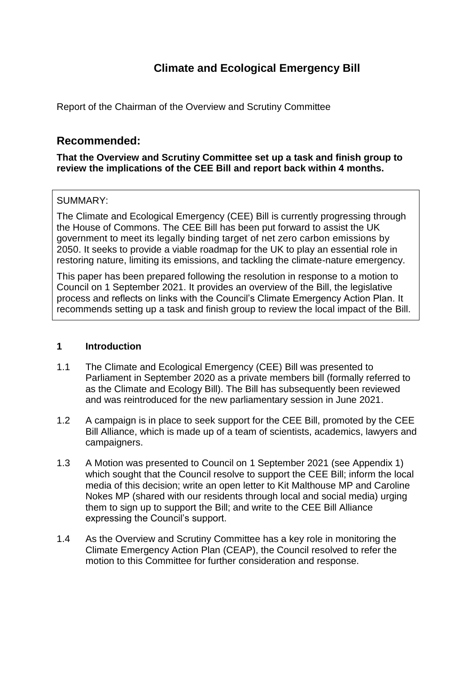# **Climate and Ecological Emergency Bill**

Report of the Chairman of the Overview and Scrutiny Committee

## **Recommended:**

#### **That the Overview and Scrutiny Committee set up a task and finish group to review the implications of the CEE Bill and report back within 4 months.**

#### SUMMARY:

The Climate and Ecological Emergency (CEE) Bill is currently progressing through the House of Commons. The CEE Bill has been put forward to assist the UK government to meet its legally binding target of net zero carbon emissions by 2050. It seeks to provide a viable roadmap for the UK to play an essential role in restoring nature, limiting its emissions, and tackling the climate-nature emergency.

This paper has been prepared following the resolution in response to a motion to Council on 1 September 2021. It provides an overview of the Bill, the legislative process and reflects on links with the Council's Climate Emergency Action Plan. It recommends setting up a task and finish group to review the local impact of the Bill.

#### **1 Introduction**

- 1.1 The Climate and Ecological Emergency (CEE) Bill was presented to Parliament in September 2020 as a private members bill (formally referred to as the Climate and Ecology Bill). The Bill has subsequently been reviewed and was reintroduced for the new parliamentary session in June 2021.
- 1.2 A campaign is in place to seek support for the CEE Bill, promoted by the CEE Bill Alliance, which is made up of a team of scientists, academics, lawyers and campaigners.
- 1.3 A Motion was presented to Council on 1 September 2021 (see Appendix 1) which sought that the Council resolve to support the CEE Bill; inform the local media of this decision; write an open letter to Kit Malthouse MP and Caroline Nokes MP (shared with our residents through local and social media) urging them to sign up to support the Bill; and write to the CEE Bill Alliance expressing the Council's support.
- 1.4 As the Overview and Scrutiny Committee has a key role in monitoring the Climate Emergency Action Plan (CEAP), the Council resolved to refer the motion to this Committee for further consideration and response.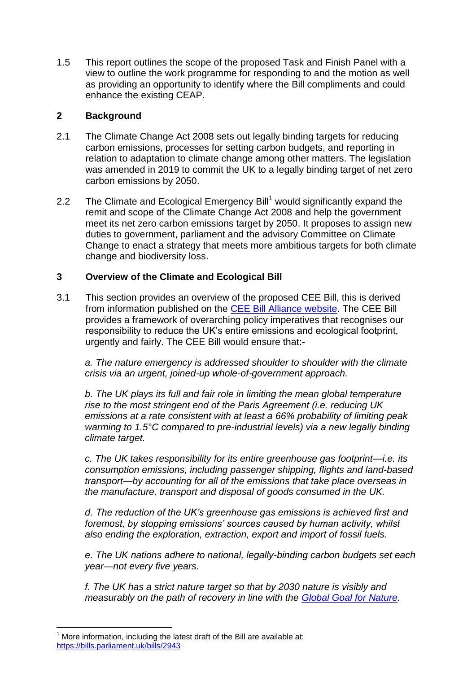1.5 This report outlines the scope of the proposed Task and Finish Panel with a view to outline the work programme for responding to and the motion as well as providing an opportunity to identify where the Bill compliments and could enhance the existing CEAP.

#### **2 Background**

- 2.1 The Climate Change Act 2008 sets out legally binding targets for reducing carbon emissions, processes for setting carbon budgets, and reporting in relation to adaptation to climate change among other matters. The legislation was amended in 2019 to commit the UK to a legally binding target of net zero carbon emissions by 2050.
- 2.2 The Climate and Ecological Emergency Bill<sup>1</sup> would significantly expand the remit and scope of the Climate Change Act 2008 and help the government meet its net zero carbon emissions target by 2050. It proposes to assign new duties to government, parliament and the advisory Committee on Climate Change to enact a strategy that meets more ambitious targets for both climate change and biodiversity loss.

### **3 Overview of the Climate and Ecological Bill**

3.1 This section provides an overview of the proposed CEE Bill, this is derived from information published on the [CEE Bill Alliance website.](https://www.ceebill.uk/bill) The CEE Bill provides a framework of overarching policy imperatives that recognises our responsibility to reduce the UK's entire emissions and ecological footprint, urgently and fairly. The CEE Bill would ensure that:-

*a. The nature emergency is addressed shoulder to shoulder with the climate crisis via an urgent, joined-up whole-of-government approach.*

*b. The UK plays its full and fair role in limiting the mean global temperature rise to the most stringent end of the Paris Agreement (i.e. reducing UK emissions at a rate consistent with at least a 66% probability of limiting peak warming to 1.5°C compared to pre-industrial levels) via a new legally binding climate target.*

*c. The UK takes responsibility for its entire greenhouse gas footprint—i.e. its consumption emissions, including passenger shipping, flights and land-based transport—by accounting for all of the emissions that take place overseas in the manufacture, transport and disposal of goods consumed in the UK.*

*d. The reduction of the UK's greenhouse gas emissions is achieved first and foremost, by stopping emissions' sources caused by human activity, whilst also ending the exploration, extraction, export and import of fossil fuels.*

*e. The UK nations adhere to national, legally-binding carbon budgets set each year—not every five years.*

*f. The UK has a strict nature target so that by 2030 nature is visibly and measurably on the path of recovery in line with the [Global Goal for Nature.](https://www.naturepositive.org/)* 

 $\overline{a}$ More information, including the latest draft of the Bill are available at: <https://bills.parliament.uk/bills/2943>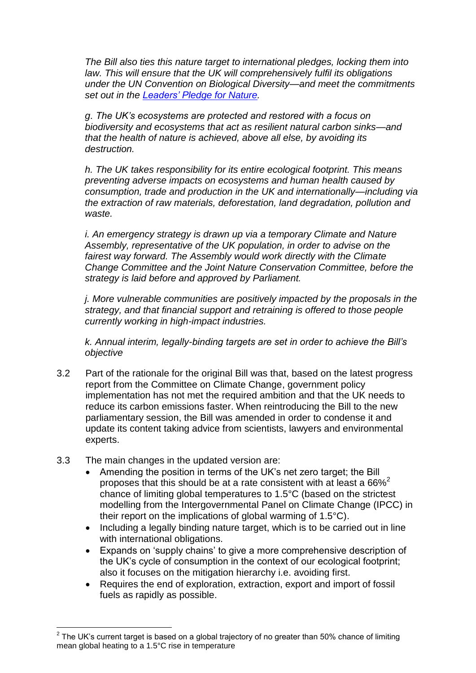*The Bill also ties this nature target to international pledges, locking them into law. This will ensure that the UK will comprehensively fulfil its obligations under the UN Convention on Biological Diversity—and meet the commitments set out in the [Leaders' Pledge for Nature.](https://www.leaderspledgefornature.org/)*

*g. The UK's ecosystems are protected and restored with a focus on biodiversity and ecosystems that act as resilient natural carbon sinks—and that the health of nature is achieved, above all else, by avoiding its destruction.*

*h. The UK takes responsibility for its entire ecological footprint. This means preventing adverse impacts on ecosystems and human health caused by consumption, trade and production in the UK and internationally—including via the extraction of raw materials, deforestation, land degradation, pollution and waste.*

*i. An emergency strategy is drawn up via a temporary Climate and Nature Assembly, representative of the UK population, in order to advise on the fairest way forward. The Assembly would work directly with the Climate Change Committee and the Joint Nature Conservation Committee, before the strategy is laid before and approved by Parliament.*

*j. More vulnerable communities are positively impacted by the proposals in the strategy, and that financial support and retraining is offered to those people currently working in high-impact industries.*

*k. Annual interim, legally-binding targets are set in order to achieve the Bill's objective* 

- 3.2 Part of the rationale for the original Bill was that, based on the latest progress report from the Committee on Climate Change, government policy implementation has not met the required ambition and that the UK needs to reduce its carbon emissions faster. When reintroducing the Bill to the new parliamentary session, the Bill was amended in order to condense it and update its content taking advice from scientists, lawyers and environmental experts.
- 3.3 The main changes in the updated version are:
	- Amending the position in terms of the UK's net zero target; the Bill proposes that this should be at a rate consistent with at least a  $66\%^2$ chance of limiting global temperatures to 1.5°C (based on the strictest modelling from the Intergovernmental Panel on Climate Change (IPCC) in their report on the implications of global warming of 1.5°C).
	- Including a legally binding nature target, which is to be carried out in line with international obligations.
	- Expands on 'supply chains' to give a more comprehensive description of the UK's cycle of consumption in the context of our ecological footprint; also it focuses on the mitigation hierarchy i.e. avoiding first.
	- Requires the end of exploration, extraction, export and import of fossil fuels as rapidly as possible.

 2 The UK's current target is based on a global trajectory of no greater than 50% chance of limiting mean global heating to a 1.5°C rise in temperature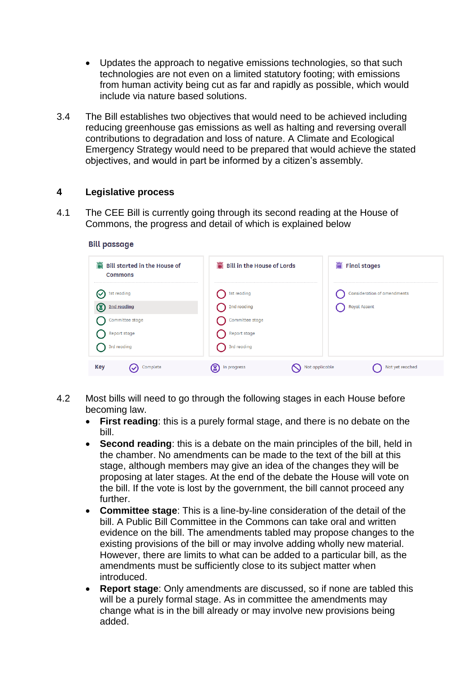- Updates the approach to negative emissions technologies, so that such technologies are not even on a limited statutory footing; with emissions from human activity being cut as far and rapidly as possible, which would include via nature based solutions.
- 3.4 The Bill establishes two objectives that would need to be achieved including reducing greenhouse gas emissions as well as halting and reversing overall contributions to degradation and loss of nature. A Climate and Ecological Emergency Strategy would need to be prepared that would achieve the stated objectives, and would in part be informed by a citizen's assembly.

#### **4 Legislative process**

**Bill passage** 

4.1 The CEE Bill is currently going through its second reading at the House of Commons, the progress and detail of which is explained below

| 臝<br><b>Bill started in the House of</b><br><b>Commons</b> | Bill in the House of Lords | <b>III</b> Final stages            |
|------------------------------------------------------------|----------------------------|------------------------------------|
| 1st reading                                                | 1st reading                | <b>Consideration of amendments</b> |
| ◙<br>2nd reading                                           | 2nd reading                | <b>Royal Assent</b>                |
| Committee stage                                            | Committee stage            |                                    |
| Report stage                                               | Report stage               |                                    |
| 3rd reading                                                | 3rd reading                |                                    |
| Key<br>Complete                                            | In progress                | Not applicable<br>Not yet reached  |

- 4.2 Most bills will need to go through the following stages in each House before becoming law.
	- **First reading**: this is a purely formal stage, and there is no debate on the bill.
	- **Second reading**: this is a debate on the main principles of the bill, held in the chamber. No amendments can be made to the text of the bill at this stage, although members may give an idea of the changes they will be proposing at later stages. At the end of the debate the House will vote on the bill. If the vote is lost by the government, the bill cannot proceed any further.
	- **Committee stage**: This is a line-by-line consideration of the detail of the bill. A Public Bill Committee in the Commons can take oral and written evidence on the bill. The amendments tabled may propose changes to the existing provisions of the bill or may involve adding wholly new material. However, there are limits to what can be added to a particular bill, as the amendments must be sufficiently close to its subject matter when introduced.
	- **Report stage**: Only amendments are discussed, so if none are tabled this will be a purely formal stage. As in committee the amendments may change what is in the bill already or may involve new provisions being added.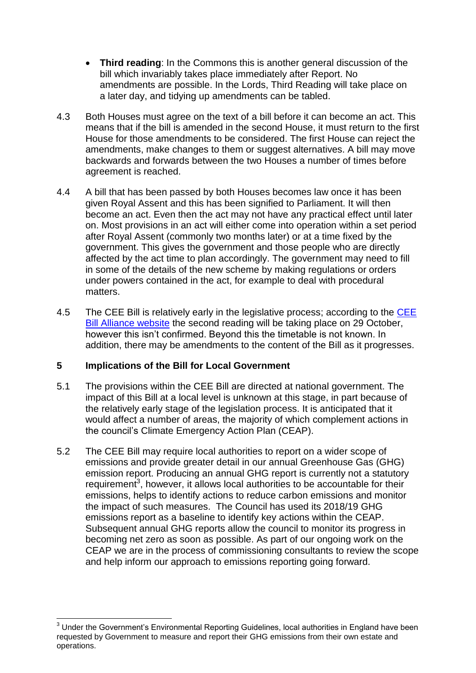- **Third reading**: In the Commons this is another general discussion of the bill which invariably takes place immediately after Report. No amendments are possible. In the Lords, Third Reading will take place on a later day, and tidying up amendments can be tabled.
- 4.3 Both Houses must agree on the text of a bill before it can become an act. This means that if the bill is amended in the second House, it must return to the first House for those amendments to be considered. The first House can reject the amendments, make changes to them or suggest alternatives. A bill may move backwards and forwards between the two Houses a number of times before agreement is reached.
- 4.4 A bill that has been passed by both Houses becomes law once it has been given Royal Assent and this has been signified to Parliament. It will then become an act. Even then the act may not have any practical effect until later on. Most provisions in an act will either come into operation within a set period after Royal Assent (commonly two months later) or at a time fixed by the government. This gives the government and those people who are directly affected by the act time to plan accordingly. The government may need to fill in some of the details of the new scheme by making regulations or orders under powers contained in the act, for example to deal with procedural matters.
- 4.5 The [CEE](https://www.ceebill.uk/the_cee_bill_second_second_reading) Bill is relatively early in the legislative process; according to the CEE [Bill Alliance website](https://www.ceebill.uk/the_cee_bill_second_second_reading) the second reading will be taking place on 29 October, however this isn't confirmed. Beyond this the timetable is not known. In addition, there may be amendments to the content of the Bill as it progresses.

### **5 Implications of the Bill for Local Government**

 $\overline{a}$ 

- 5.1 The provisions within the CEE Bill are directed at national government. The impact of this Bill at a local level is unknown at this stage, in part because of the relatively early stage of the legislation process. It is anticipated that it would affect a number of areas, the majority of which complement actions in the council's Climate Emergency Action Plan (CEAP).
- 5.2 The CEE Bill may require local authorities to report on a wider scope of emissions and provide greater detail in our annual Greenhouse Gas (GHG) emission report. Producing an annual GHG report is currently not a statutory requirement<sup>3</sup>, however, it allows local authorities to be accountable for their emissions, helps to identify actions to reduce carbon emissions and monitor the impact of such measures. The Council has used its 2018/19 GHG emissions report as a baseline to identify key actions within the CEAP. Subsequent annual GHG reports allow the council to monitor its progress in becoming net zero as soon as possible. As part of our ongoing work on the CEAP we are in the process of commissioning consultants to review the scope and help inform our approach to emissions reporting going forward.

 $3$  Under the Government's Environmental Reporting Guidelines, local authorities in England have been requested by Government to measure and report their GHG emissions from their own estate and operations.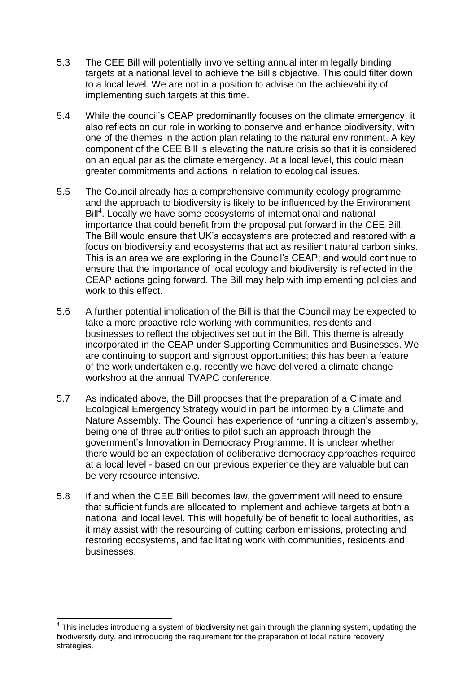- 5.3 The CEE Bill will potentially involve setting annual interim legally binding targets at a national level to achieve the Bill's objective. This could filter down to a local level. We are not in a position to advise on the achievability of implementing such targets at this time.
- 5.4 While the council's CEAP predominantly focuses on the climate emergency, it also reflects on our role in working to conserve and enhance biodiversity, with one of the themes in the action plan relating to the natural environment. A key component of the CEE Bill is elevating the nature crisis so that it is considered on an equal par as the climate emergency. At a local level, this could mean greater commitments and actions in relation to ecological issues.
- 5.5 The Council already has a comprehensive community ecology programme and the approach to biodiversity is likely to be influenced by the Environment Bill<sup>4</sup>. Locally we have some ecosystems of international and national importance that could benefit from the proposal put forward in the CEE Bill. The Bill would ensure that UK's ecosystems are protected and restored with a focus on biodiversity and ecosystems that act as resilient natural carbon sinks. This is an area we are exploring in the Council's CEAP; and would continue to ensure that the importance of local ecology and biodiversity is reflected in the CEAP actions going forward. The Bill may help with implementing policies and work to this effect.
- 5.6 A further potential implication of the Bill is that the Council may be expected to take a more proactive role working with communities, residents and businesses to reflect the objectives set out in the Bill. This theme is already incorporated in the CEAP under Supporting Communities and Businesses. We are continuing to support and signpost opportunities; this has been a feature of the work undertaken e.g. recently we have delivered a climate change workshop at the annual TVAPC conference.
- 5.7 As indicated above, the Bill proposes that the preparation of a Climate and Ecological Emergency Strategy would in part be informed by a Climate and Nature Assembly. The Council has experience of running a citizen's assembly, being one of three authorities to pilot such an approach through the government's Innovation in Democracy Programme. It is unclear whether there would be an expectation of deliberative democracy approaches required at a local level - based on our previous experience they are valuable but can be very resource intensive.
- 5.8 If and when the CEE Bill becomes law, the government will need to ensure that sufficient funds are allocated to implement and achieve targets at both a national and local level. This will hopefully be of benefit to local authorities, as it may assist with the resourcing of cutting carbon emissions, protecting and restoring ecosystems, and facilitating work with communities, residents and businesses.

 $\overline{a}$ 

 $4$  This includes introducing a system of biodiversity net gain through the planning system, updating the biodiversity duty, and introducing the requirement for the preparation of local nature recovery strategies.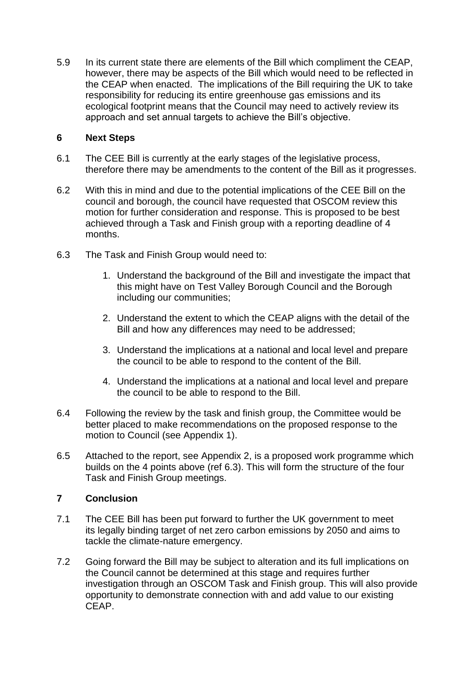5.9 In its current state there are elements of the Bill which compliment the CEAP, however, there may be aspects of the Bill which would need to be reflected in the CEAP when enacted. The implications of the Bill requiring the UK to take responsibility for reducing its entire greenhouse gas emissions and its ecological footprint means that the Council may need to actively review its approach and set annual targets to achieve the Bill's objective.

#### **6 Next Steps**

- 6.1 The CEE Bill is currently at the early stages of the legislative process, therefore there may be amendments to the content of the Bill as it progresses.
- 6.2 With this in mind and due to the potential implications of the CEE Bill on the council and borough, the council have requested that OSCOM review this motion for further consideration and response. This is proposed to be best achieved through a Task and Finish group with a reporting deadline of 4 months.
- 6.3 The Task and Finish Group would need to:
	- 1. Understand the background of the Bill and investigate the impact that this might have on Test Valley Borough Council and the Borough including our communities;
	- 2. Understand the extent to which the CEAP aligns with the detail of the Bill and how any differences may need to be addressed;
	- 3. Understand the implications at a national and local level and prepare the council to be able to respond to the content of the Bill.
	- 4. Understand the implications at a national and local level and prepare the council to be able to respond to the Bill.
- 6.4 Following the review by the task and finish group, the Committee would be better placed to make recommendations on the proposed response to the motion to Council (see Appendix 1).
- 6.5 Attached to the report, see Appendix 2, is a proposed work programme which builds on the 4 points above (ref 6.3). This will form the structure of the four Task and Finish Group meetings.

### **7 Conclusion**

- 7.1 The CEE Bill has been put forward to further the UK government to meet its legally binding target of net zero carbon emissions by 2050 and aims to tackle the climate-nature emergency.
- 7.2 Going forward the Bill may be subject to alteration and its full implications on the Council cannot be determined at this stage and requires further investigation through an OSCOM Task and Finish group. This will also provide opportunity to demonstrate connection with and add value to our existing CEAP.